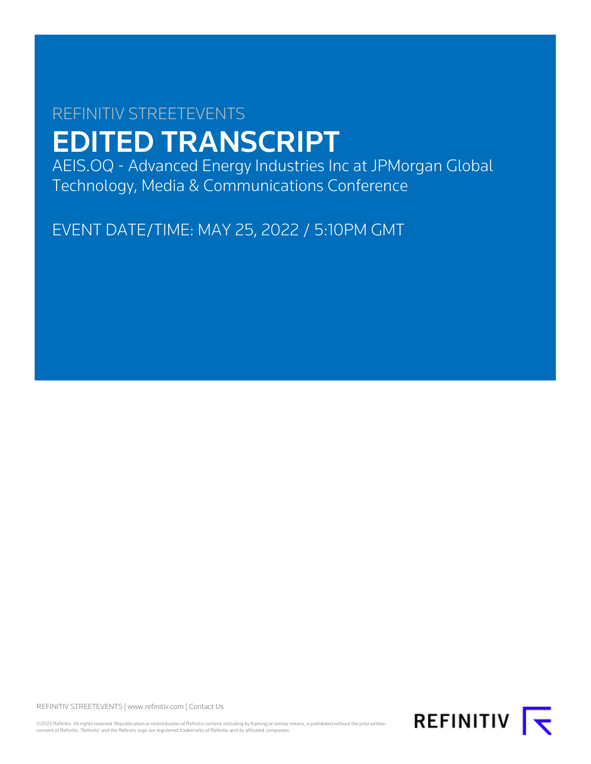# REFINITIV STREETEVENTS EDITED TRANSCRIPT

AEIS.OQ - Advanced Energy Industries Inc at JPMorgan Global Technology, Media & Communications Conference

EVENT DATE/TIME: MAY 25, 2022 / 5:10PM GMT

REFINITIV STREETEVENTS | [www.refinitiv.com](https://www.refinitiv.com/) | [Contact Us](https://www.refinitiv.com/en/contact-us)

©2022 Refinitiv. All rights reserved. Republication or redistribution of Refinitiv content, including by framing or similar means, is prohibited without the prior written<br>consent of Refinitiv. 'Refinitiv' and the Refinitiv

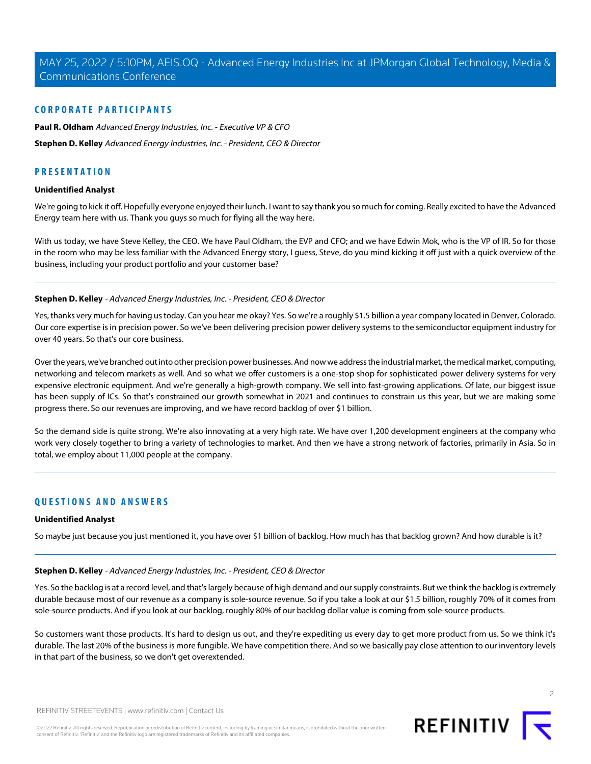# **CORPORATE PARTICIPANTS**

**[Paul R. Oldham](#page-2-0)** Advanced Energy Industries, Inc. - Executive VP & CFO **[Stephen D. Kelley](#page-1-0)** Advanced Energy Industries, Inc. - President, CEO & Director

# **PRESENTATION**

### **Unidentified Analyst**

We're going to kick it off. Hopefully everyone enjoyed their lunch. I want to say thank you so much for coming. Really excited to have the Advanced Energy team here with us. Thank you guys so much for flying all the way here.

<span id="page-1-0"></span>With us today, we have Steve Kelley, the CEO. We have Paul Oldham, the EVP and CFO; and we have Edwin Mok, who is the VP of IR. So for those in the room who may be less familiar with the Advanced Energy story, I guess, Steve, do you mind kicking it off just with a quick overview of the business, including your product portfolio and your customer base?

# **Stephen D. Kelley** - Advanced Energy Industries, Inc. - President, CEO & Director

Yes, thanks very much for having us today. Can you hear me okay? Yes. So we're a roughly \$1.5 billion a year company located in Denver, Colorado. Our core expertise is in precision power. So we've been delivering precision power delivery systems to the semiconductor equipment industry for over 40 years. So that's our core business.

Over the years, we've branched out into other precision power businesses. And now we address the industrial market, the medical market, computing, networking and telecom markets as well. And so what we offer customers is a one-stop shop for sophisticated power delivery systems for very expensive electronic equipment. And we're generally a high-growth company. We sell into fast-growing applications. Of late, our biggest issue has been supply of ICs. So that's constrained our growth somewhat in 2021 and continues to constrain us this year, but we are making some progress there. So our revenues are improving, and we have record backlog of over \$1 billion.

So the demand side is quite strong. We're also innovating at a very high rate. We have over 1,200 development engineers at the company who work very closely together to bring a variety of technologies to market. And then we have a strong network of factories, primarily in Asia. So in total, we employ about 11,000 people at the company.

# **QUESTIONS AND ANSWERS**

# **Unidentified Analyst**

So maybe just because you just mentioned it, you have over \$1 billion of backlog. How much has that backlog grown? And how durable is it?

# **Stephen D. Kelley** - Advanced Energy Industries, Inc. - President, CEO & Director

Yes. So the backlog is at a record level, and that's largely because of high demand and our supply constraints. But we think the backlog is extremely durable because most of our revenue as a company is sole-source revenue. So if you take a look at our \$1.5 billion, roughly 70% of it comes from sole-source products. And if you look at our backlog, roughly 80% of our backlog dollar value is coming from sole-source products.

So customers want those products. It's hard to design us out, and they're expediting us every day to get more product from us. So we think it's durable. The last 20% of the business is more fungible. We have competition there. And so we basically pay close attention to our inventory levels in that part of the business, so we don't get overextended.

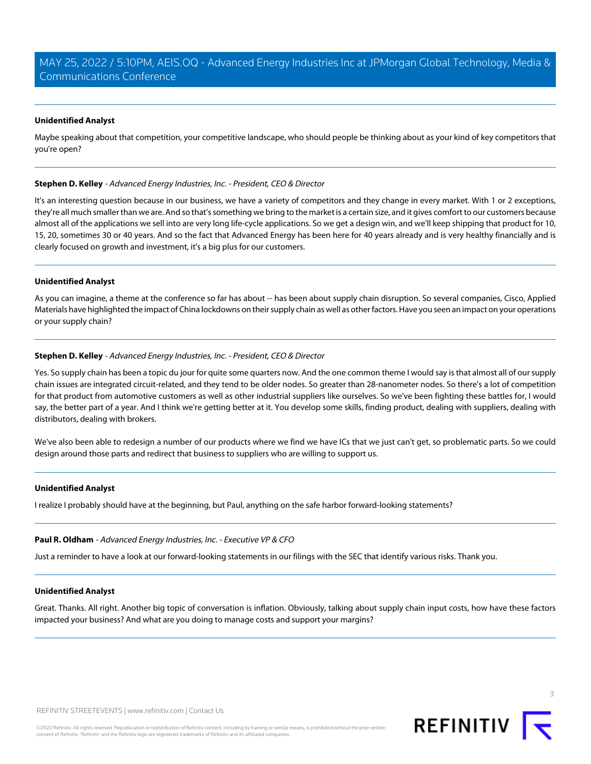# **Unidentified Analyst**

Maybe speaking about that competition, your competitive landscape, who should people be thinking about as your kind of key competitors that you're open?

### **Stephen D. Kelley** - Advanced Energy Industries, Inc. - President, CEO & Director

It's an interesting question because in our business, we have a variety of competitors and they change in every market. With 1 or 2 exceptions, they're all much smaller than we are. And so that's something we bring to the market is a certain size, and it gives comfort to our customers because almost all of the applications we sell into are very long life-cycle applications. So we get a design win, and we'll keep shipping that product for 10, 15, 20, sometimes 30 or 40 years. And so the fact that Advanced Energy has been here for 40 years already and is very healthy financially and is clearly focused on growth and investment, it's a big plus for our customers.

### **Unidentified Analyst**

As you can imagine, a theme at the conference so far has about -- has been about supply chain disruption. So several companies, Cisco, Applied Materials have highlighted the impact of China lockdowns on their supply chain as well as other factors. Have you seen an impact on your operations or your supply chain?

# **Stephen D. Kelley** - Advanced Energy Industries, Inc. - President, CEO & Director

Yes. So supply chain has been a topic du jour for quite some quarters now. And the one common theme I would say is that almost all of our supply chain issues are integrated circuit-related, and they tend to be older nodes. So greater than 28-nanometer nodes. So there's a lot of competition for that product from automotive customers as well as other industrial suppliers like ourselves. So we've been fighting these battles for, I would say, the better part of a year. And I think we're getting better at it. You develop some skills, finding product, dealing with suppliers, dealing with distributors, dealing with brokers.

We've also been able to redesign a number of our products where we find we have ICs that we just can't get, so problematic parts. So we could design around those parts and redirect that business to suppliers who are willing to support us.

# <span id="page-2-0"></span>**Unidentified Analyst**

I realize I probably should have at the beginning, but Paul, anything on the safe harbor forward-looking statements?

### **Paul R. Oldham** - Advanced Energy Industries, Inc. - Executive VP & CFO

Just a reminder to have a look at our forward-looking statements in our filings with the SEC that identify various risks. Thank you.

### **Unidentified Analyst**

Great. Thanks. All right. Another big topic of conversation is inflation. Obviously, talking about supply chain input costs, how have these factors impacted your business? And what are you doing to manage costs and support your margins?





3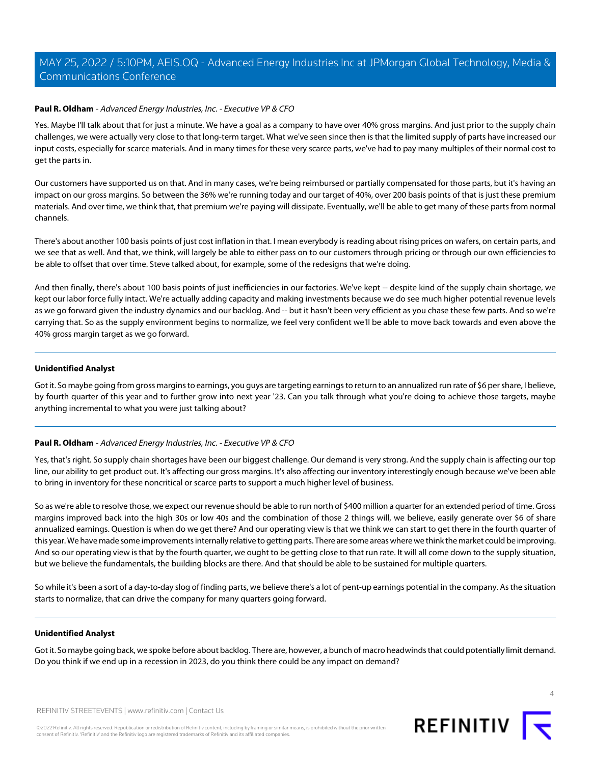### **Paul R. Oldham** - Advanced Energy Industries, Inc. - Executive VP & CFO

Yes. Maybe I'll talk about that for just a minute. We have a goal as a company to have over 40% gross margins. And just prior to the supply chain challenges, we were actually very close to that long-term target. What we've seen since then is that the limited supply of parts have increased our input costs, especially for scarce materials. And in many times for these very scarce parts, we've had to pay many multiples of their normal cost to get the parts in.

Our customers have supported us on that. And in many cases, we're being reimbursed or partially compensated for those parts, but it's having an impact on our gross margins. So between the 36% we're running today and our target of 40%, over 200 basis points of that is just these premium materials. And over time, we think that, that premium we're paying will dissipate. Eventually, we'll be able to get many of these parts from normal channels.

There's about another 100 basis points of just cost inflation in that. I mean everybody is reading about rising prices on wafers, on certain parts, and we see that as well. And that, we think, will largely be able to either pass on to our customers through pricing or through our own efficiencies to be able to offset that over time. Steve talked about, for example, some of the redesigns that we're doing.

And then finally, there's about 100 basis points of just inefficiencies in our factories. We've kept -- despite kind of the supply chain shortage, we kept our labor force fully intact. We're actually adding capacity and making investments because we do see much higher potential revenue levels as we go forward given the industry dynamics and our backlog. And -- but it hasn't been very efficient as you chase these few parts. And so we're carrying that. So as the supply environment begins to normalize, we feel very confident we'll be able to move back towards and even above the 40% gross margin target as we go forward.

### **Unidentified Analyst**

Got it. So maybe going from gross margins to earnings, you guys are targeting earnings to return to an annualized run rate of \$6 per share, I believe, by fourth quarter of this year and to further grow into next year '23. Can you talk through what you're doing to achieve those targets, maybe anything incremental to what you were just talking about?

# **Paul R. Oldham** - Advanced Energy Industries, Inc. - Executive VP & CFO

Yes, that's right. So supply chain shortages have been our biggest challenge. Our demand is very strong. And the supply chain is affecting our top line, our ability to get product out. It's affecting our gross margins. It's also affecting our inventory interestingly enough because we've been able to bring in inventory for these noncritical or scarce parts to support a much higher level of business.

So as we're able to resolve those, we expect our revenue should be able to run north of \$400 million a quarter for an extended period of time. Gross margins improved back into the high 30s or low 40s and the combination of those 2 things will, we believe, easily generate over \$6 of share annualized earnings. Question is when do we get there? And our operating view is that we think we can start to get there in the fourth quarter of this year. We have made some improvements internally relative to getting parts. There are some areas where we think the market could be improving. And so our operating view is that by the fourth quarter, we ought to be getting close to that run rate. It will all come down to the supply situation, but we believe the fundamentals, the building blocks are there. And that should be able to be sustained for multiple quarters.

So while it's been a sort of a day-to-day slog of finding parts, we believe there's a lot of pent-up earnings potential in the company. As the situation starts to normalize, that can drive the company for many quarters going forward.

### **Unidentified Analyst**

Got it. So maybe going back, we spoke before about backlog. There are, however, a bunch of macro headwinds that could potentially limit demand. Do you think if we end up in a recession in 2023, do you think there could be any impact on demand?



 $\Delta$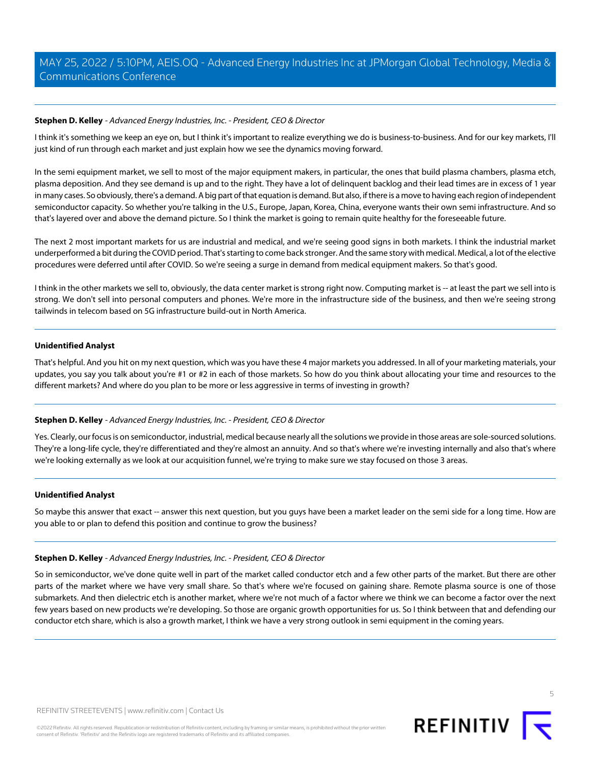# **Stephen D. Kelley** - Advanced Energy Industries, Inc. - President, CEO & Director

I think it's something we keep an eye on, but I think it's important to realize everything we do is business-to-business. And for our key markets, I'll just kind of run through each market and just explain how we see the dynamics moving forward.

In the semi equipment market, we sell to most of the major equipment makers, in particular, the ones that build plasma chambers, plasma etch, plasma deposition. And they see demand is up and to the right. They have a lot of delinquent backlog and their lead times are in excess of 1 year in many cases. So obviously, there's a demand. A big part of that equation is demand. But also, if there is a move to having each region of independent semiconductor capacity. So whether you're talking in the U.S., Europe, Japan, Korea, China, everyone wants their own semi infrastructure. And so that's layered over and above the demand picture. So I think the market is going to remain quite healthy for the foreseeable future.

The next 2 most important markets for us are industrial and medical, and we're seeing good signs in both markets. I think the industrial market underperformed a bit during the COVID period. That's starting to come back stronger. And the same story with medical. Medical, a lot of the elective procedures were deferred until after COVID. So we're seeing a surge in demand from medical equipment makers. So that's good.

I think in the other markets we sell to, obviously, the data center market is strong right now. Computing market is -- at least the part we sell into is strong. We don't sell into personal computers and phones. We're more in the infrastructure side of the business, and then we're seeing strong tailwinds in telecom based on 5G infrastructure build-out in North America.

### **Unidentified Analyst**

That's helpful. And you hit on my next question, which was you have these 4 major markets you addressed. In all of your marketing materials, your updates, you say you talk about you're #1 or #2 in each of those markets. So how do you think about allocating your time and resources to the different markets? And where do you plan to be more or less aggressive in terms of investing in growth?

# **Stephen D. Kelley** - Advanced Energy Industries, Inc. - President, CEO & Director

Yes. Clearly, our focus is on semiconductor, industrial, medical because nearly all the solutions we provide in those areas are sole-sourced solutions. They're a long-life cycle, they're differentiated and they're almost an annuity. And so that's where we're investing internally and also that's where we're looking externally as we look at our acquisition funnel, we're trying to make sure we stay focused on those 3 areas.

### **Unidentified Analyst**

So maybe this answer that exact -- answer this next question, but you guys have been a market leader on the semi side for a long time. How are you able to or plan to defend this position and continue to grow the business?

### **Stephen D. Kelley** - Advanced Energy Industries, Inc. - President, CEO & Director

So in semiconductor, we've done quite well in part of the market called conductor etch and a few other parts of the market. But there are other parts of the market where we have very small share. So that's where we're focused on gaining share. Remote plasma source is one of those submarkets. And then dielectric etch is another market, where we're not much of a factor where we think we can become a factor over the next few years based on new products we're developing. So those are organic growth opportunities for us. So I think between that and defending our conductor etch share, which is also a growth market, I think we have a very strong outlook in semi equipment in the coming years.



5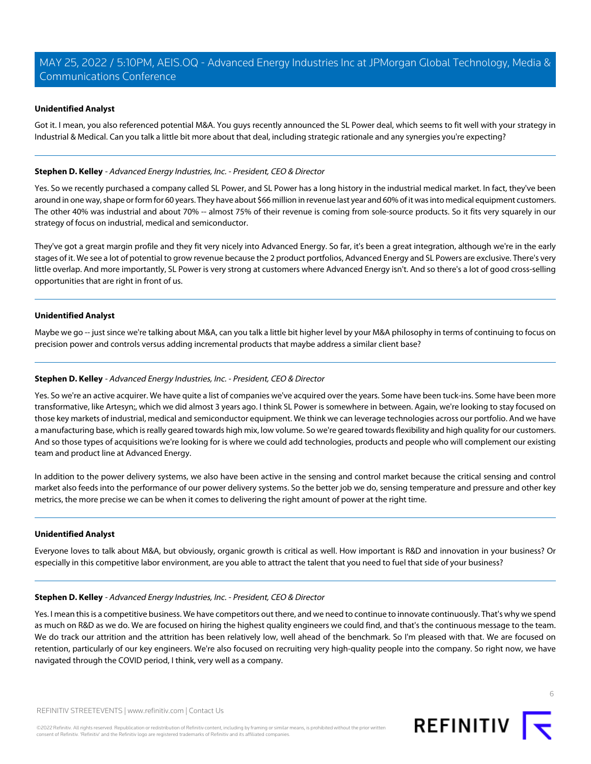# **Unidentified Analyst**

Got it. I mean, you also referenced potential M&A. You guys recently announced the SL Power deal, which seems to fit well with your strategy in Industrial & Medical. Can you talk a little bit more about that deal, including strategic rationale and any synergies you're expecting?

# **Stephen D. Kelley** - Advanced Energy Industries, Inc. - President, CEO & Director

Yes. So we recently purchased a company called SL Power, and SL Power has a long history in the industrial medical market. In fact, they've been around in one way, shape or form for 60 years. They have about \$66 million in revenue last year and 60% of it was into medical equipment customers. The other 40% was industrial and about 70% -- almost 75% of their revenue is coming from sole-source products. So it fits very squarely in our strategy of focus on industrial, medical and semiconductor.

They've got a great margin profile and they fit very nicely into Advanced Energy. So far, it's been a great integration, although we're in the early stages of it. We see a lot of potential to grow revenue because the 2 product portfolios, Advanced Energy and SL Powers are exclusive. There's very little overlap. And more importantly, SL Power is very strong at customers where Advanced Energy isn't. And so there's a lot of good cross-selling opportunities that are right in front of us.

### **Unidentified Analyst**

Maybe we go -- just since we're talking about M&A, can you talk a little bit higher level by your M&A philosophy in terms of continuing to focus on precision power and controls versus adding incremental products that maybe address a similar client base?

### **Stephen D. Kelley** - Advanced Energy Industries, Inc. - President, CEO & Director

Yes. So we're an active acquirer. We have quite a list of companies we've acquired over the years. Some have been tuck-ins. Some have been more transformative, like Artesyn;, which we did almost 3 years ago. I think SL Power is somewhere in between. Again, we're looking to stay focused on those key markets of industrial, medical and semiconductor equipment. We think we can leverage technologies across our portfolio. And we have a manufacturing base, which is really geared towards high mix, low volume. So we're geared towards flexibility and high quality for our customers. And so those types of acquisitions we're looking for is where we could add technologies, products and people who will complement our existing team and product line at Advanced Energy.

In addition to the power delivery systems, we also have been active in the sensing and control market because the critical sensing and control market also feeds into the performance of our power delivery systems. So the better job we do, sensing temperature and pressure and other key metrics, the more precise we can be when it comes to delivering the right amount of power at the right time.

### **Unidentified Analyst**

Everyone loves to talk about M&A, but obviously, organic growth is critical as well. How important is R&D and innovation in your business? Or especially in this competitive labor environment, are you able to attract the talent that you need to fuel that side of your business?

### **Stephen D. Kelley** - Advanced Energy Industries, Inc. - President, CEO & Director

Yes. I mean this is a competitive business. We have competitors out there, and we need to continue to innovate continuously. That's why we spend as much on R&D as we do. We are focused on hiring the highest quality engineers we could find, and that's the continuous message to the team. We do track our attrition and the attrition has been relatively low, well ahead of the benchmark. So I'm pleased with that. We are focused on retention, particularly of our key engineers. We're also focused on recruiting very high-quality people into the company. So right now, we have navigated through the COVID period, I think, very well as a company.

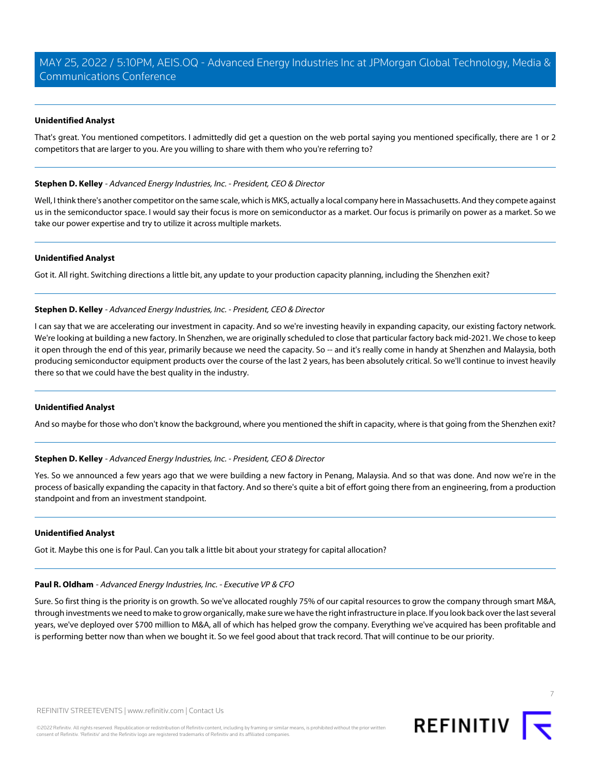### **Unidentified Analyst**

That's great. You mentioned competitors. I admittedly did get a question on the web portal saying you mentioned specifically, there are 1 or 2 competitors that are larger to you. Are you willing to share with them who you're referring to?

### **Stephen D. Kelley** - Advanced Energy Industries, Inc. - President, CEO & Director

Well, I think there's another competitor on the same scale, which is MKS, actually a local company here in Massachusetts. And they compete against us in the semiconductor space. I would say their focus is more on semiconductor as a market. Our focus is primarily on power as a market. So we take our power expertise and try to utilize it across multiple markets.

# **Unidentified Analyst**

Got it. All right. Switching directions a little bit, any update to your production capacity planning, including the Shenzhen exit?

### **Stephen D. Kelley** - Advanced Energy Industries, Inc. - President, CEO & Director

I can say that we are accelerating our investment in capacity. And so we're investing heavily in expanding capacity, our existing factory network. We're looking at building a new factory. In Shenzhen, we are originally scheduled to close that particular factory back mid-2021. We chose to keep it open through the end of this year, primarily because we need the capacity. So -- and it's really come in handy at Shenzhen and Malaysia, both producing semiconductor equipment products over the course of the last 2 years, has been absolutely critical. So we'll continue to invest heavily there so that we could have the best quality in the industry.

# **Unidentified Analyst**

And so maybe for those who don't know the background, where you mentioned the shift in capacity, where is that going from the Shenzhen exit?

### **Stephen D. Kelley** - Advanced Energy Industries, Inc. - President, CEO & Director

Yes. So we announced a few years ago that we were building a new factory in Penang, Malaysia. And so that was done. And now we're in the process of basically expanding the capacity in that factory. And so there's quite a bit of effort going there from an engineering, from a production standpoint and from an investment standpoint.

### **Unidentified Analyst**

Got it. Maybe this one is for Paul. Can you talk a little bit about your strategy for capital allocation?

# **Paul R. Oldham** - Advanced Energy Industries, Inc. - Executive VP & CFO

Sure. So first thing is the priority is on growth. So we've allocated roughly 75% of our capital resources to grow the company through smart M&A, through investments we need to make to grow organically, make sure we have the right infrastructure in place. If you look back over the last several years, we've deployed over \$700 million to M&A, all of which has helped grow the company. Everything we've acquired has been profitable and is performing better now than when we bought it. So we feel good about that track record. That will continue to be our priority.

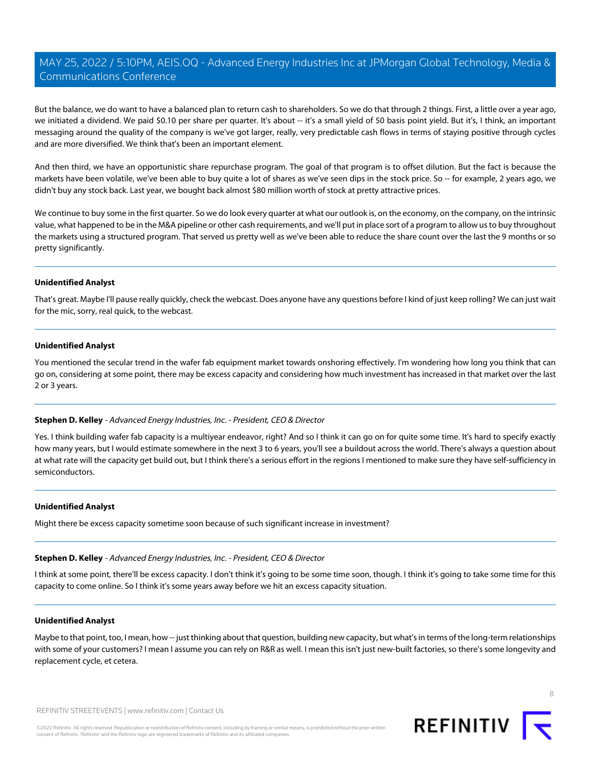But the balance, we do want to have a balanced plan to return cash to shareholders. So we do that through 2 things. First, a little over a year ago, we initiated a dividend. We paid \$0.10 per share per quarter. It's about -- it's a small yield of 50 basis point yield. But it's, I think, an important messaging around the quality of the company is we've got larger, really, very predictable cash flows in terms of staying positive through cycles and are more diversified. We think that's been an important element.

And then third, we have an opportunistic share repurchase program. The goal of that program is to offset dilution. But the fact is because the markets have been volatile, we've been able to buy quite a lot of shares as we've seen dips in the stock price. So -- for example, 2 years ago, we didn't buy any stock back. Last year, we bought back almost \$80 million worth of stock at pretty attractive prices.

We continue to buy some in the first quarter. So we do look every quarter at what our outlook is, on the economy, on the company, on the intrinsic value, what happened to be in the M&A pipeline or other cash requirements, and we'll put in place sort of a program to allow us to buy throughout the markets using a structured program. That served us pretty well as we've been able to reduce the share count over the last the 9 months or so pretty significantly.

### **Unidentified Analyst**

That's great. Maybe I'll pause really quickly, check the webcast. Does anyone have any questions before I kind of just keep rolling? We can just wait for the mic, sorry, real quick, to the webcast.

### **Unidentified Analyst**

You mentioned the secular trend in the wafer fab equipment market towards onshoring effectively. I'm wondering how long you think that can go on, considering at some point, there may be excess capacity and considering how much investment has increased in that market over the last 2 or 3 years.

# **Stephen D. Kelley** - Advanced Energy Industries, Inc. - President, CEO & Director

Yes. I think building wafer fab capacity is a multiyear endeavor, right? And so I think it can go on for quite some time. It's hard to specify exactly how many years, but I would estimate somewhere in the next 3 to 6 years, you'll see a buildout across the world. There's always a question about at what rate will the capacity get build out, but I think there's a serious effort in the regions I mentioned to make sure they have self-sufficiency in semiconductors.

# **Unidentified Analyst**

Might there be excess capacity sometime soon because of such significant increase in investment?

### **Stephen D. Kelley** - Advanced Energy Industries, Inc. - President, CEO & Director

I think at some point, there'll be excess capacity. I don't think it's going to be some time soon, though. I think it's going to take some time for this capacity to come online. So I think it's some years away before we hit an excess capacity situation.

### **Unidentified Analyst**

Maybe to that point, too, I mean, how -- just thinking about that question, building new capacity, but what's in terms of the long-term relationships with some of your customers? I mean I assume you can rely on R&R as well. I mean this isn't just new-built factories, so there's some longevity and replacement cycle, et cetera.

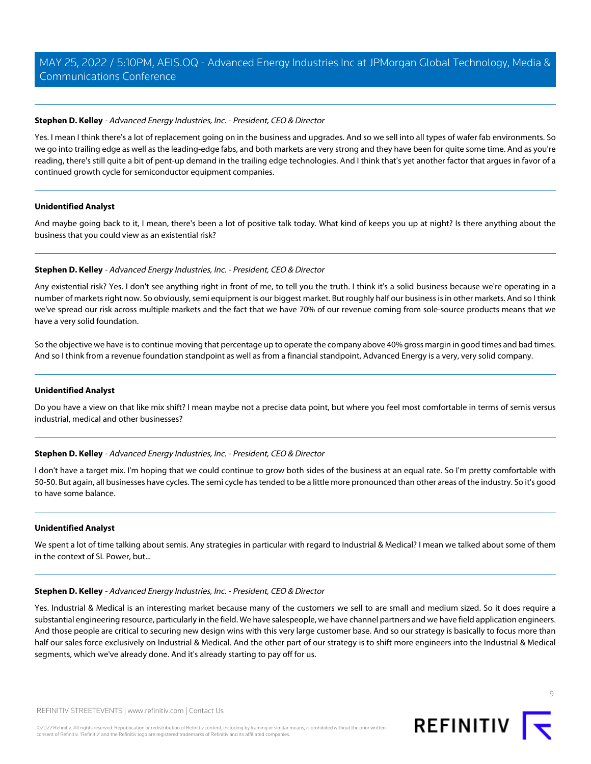# **Stephen D. Kelley** - Advanced Energy Industries, Inc. - President, CEO & Director

Yes. I mean I think there's a lot of replacement going on in the business and upgrades. And so we sell into all types of wafer fab environments. So we go into trailing edge as well as the leading-edge fabs, and both markets are very strong and they have been for quite some time. And as you're reading, there's still quite a bit of pent-up demand in the trailing edge technologies. And I think that's yet another factor that argues in favor of a continued growth cycle for semiconductor equipment companies.

### **Unidentified Analyst**

And maybe going back to it, I mean, there's been a lot of positive talk today. What kind of keeps you up at night? Is there anything about the business that you could view as an existential risk?

### **Stephen D. Kelley** - Advanced Energy Industries, Inc. - President, CEO & Director

Any existential risk? Yes. I don't see anything right in front of me, to tell you the truth. I think it's a solid business because we're operating in a number of markets right now. So obviously, semi equipment is our biggest market. But roughly half our business is in other markets. And so I think we've spread our risk across multiple markets and the fact that we have 70% of our revenue coming from sole-source products means that we have a very solid foundation.

So the objective we have is to continue moving that percentage up to operate the company above 40% gross margin in good times and bad times. And so I think from a revenue foundation standpoint as well as from a financial standpoint, Advanced Energy is a very, very solid company.

### **Unidentified Analyst**

Do you have a view on that like mix shift? I mean maybe not a precise data point, but where you feel most comfortable in terms of semis versus industrial, medical and other businesses?

# **Stephen D. Kelley** - Advanced Energy Industries, Inc. - President, CEO & Director

I don't have a target mix. I'm hoping that we could continue to grow both sides of the business at an equal rate. So I'm pretty comfortable with 50-50. But again, all businesses have cycles. The semi cycle has tended to be a little more pronounced than other areas of the industry. So it's good to have some balance.

### **Unidentified Analyst**

We spent a lot of time talking about semis. Any strategies in particular with regard to Industrial & Medical? I mean we talked about some of them in the context of SL Power, but...

### **Stephen D. Kelley** - Advanced Energy Industries, Inc. - President, CEO & Director

Yes. Industrial & Medical is an interesting market because many of the customers we sell to are small and medium sized. So it does require a substantial engineering resource, particularly in the field. We have salespeople, we have channel partners and we have field application engineers. And those people are critical to securing new design wins with this very large customer base. And so our strategy is basically to focus more than half our sales force exclusively on Industrial & Medical. And the other part of our strategy is to shift more engineers into the Industrial & Medical segments, which we've already done. And it's already starting to pay off for us.



 $\circ$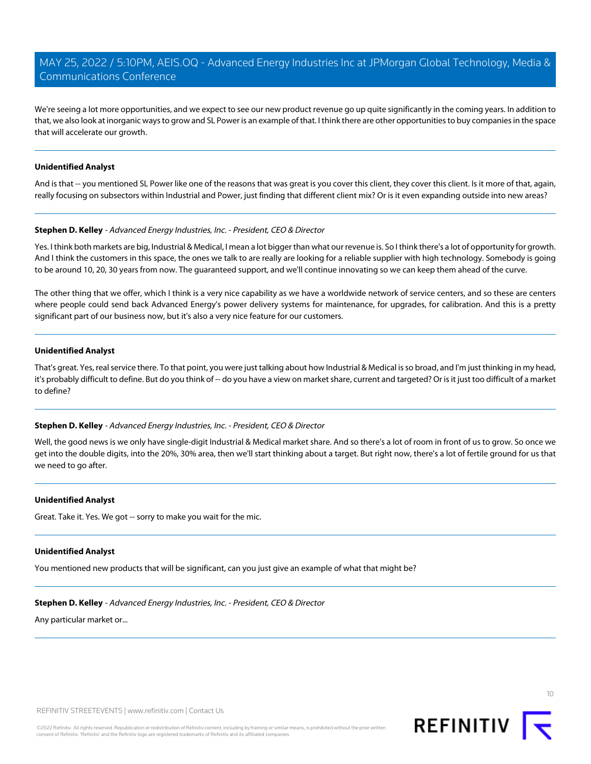We're seeing a lot more opportunities, and we expect to see our new product revenue go up quite significantly in the coming years. In addition to that, we also look at inorganic ways to grow and SL Power is an example of that. I think there are other opportunities to buy companies in the space that will accelerate our growth.

### **Unidentified Analyst**

And is that -- you mentioned SL Power like one of the reasons that was great is you cover this client, they cover this client. Is it more of that, again, really focusing on subsectors within Industrial and Power, just finding that different client mix? Or is it even expanding outside into new areas?

### **Stephen D. Kelley** - Advanced Energy Industries, Inc. - President, CEO & Director

Yes. I think both markets are big, Industrial & Medical, I mean a lot bigger than what our revenue is. So I think there's a lot of opportunity for growth. And I think the customers in this space, the ones we talk to are really are looking for a reliable supplier with high technology. Somebody is going to be around 10, 20, 30 years from now. The guaranteed support, and we'll continue innovating so we can keep them ahead of the curve.

The other thing that we offer, which I think is a very nice capability as we have a worldwide network of service centers, and so these are centers where people could send back Advanced Energy's power delivery systems for maintenance, for upgrades, for calibration. And this is a pretty significant part of our business now, but it's also a very nice feature for our customers.

### **Unidentified Analyst**

That's great. Yes, real service there. To that point, you were just talking about how Industrial & Medical is so broad, and I'm just thinking in my head, it's probably difficult to define. But do you think of -- do you have a view on market share, current and targeted? Or is it just too difficult of a market to define?

# **Stephen D. Kelley** - Advanced Energy Industries, Inc. - President, CEO & Director

Well, the good news is we only have single-digit Industrial & Medical market share. And so there's a lot of room in front of us to grow. So once we get into the double digits, into the 20%, 30% area, then we'll start thinking about a target. But right now, there's a lot of fertile ground for us that we need to go after.

### **Unidentified Analyst**

Great. Take it. Yes. We got -- sorry to make you wait for the mic.

### **Unidentified Analyst**

You mentioned new products that will be significant, can you just give an example of what that might be?

# **Stephen D. Kelley** - Advanced Energy Industries, Inc. - President, CEO & Director

Any particular market or...



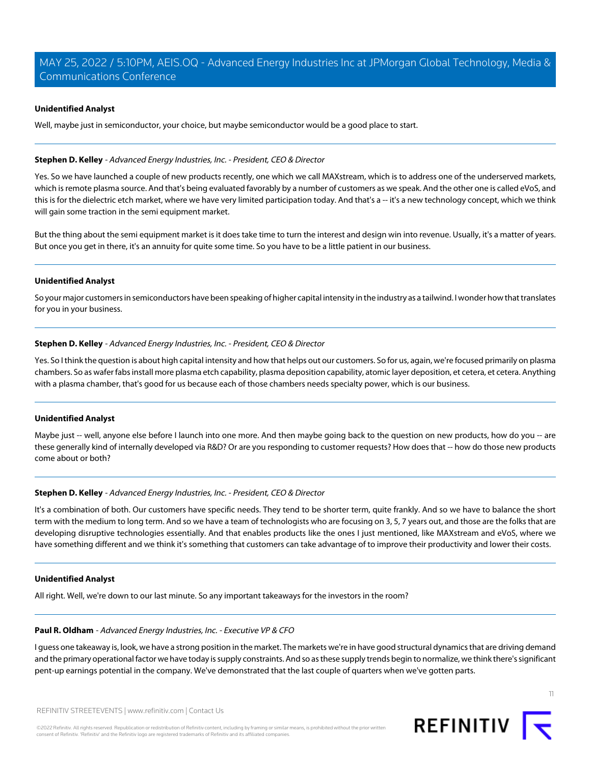### **Unidentified Analyst**

Well, maybe just in semiconductor, your choice, but maybe semiconductor would be a good place to start.

### **Stephen D. Kelley** - Advanced Energy Industries, Inc. - President, CEO & Director

Yes. So we have launched a couple of new products recently, one which we call MAXstream, which is to address one of the underserved markets, which is remote plasma source. And that's being evaluated favorably by a number of customers as we speak. And the other one is called eVoS, and this is for the dielectric etch market, where we have very limited participation today. And that's a -- it's a new technology concept, which we think will gain some traction in the semi equipment market.

But the thing about the semi equipment market is it does take time to turn the interest and design win into revenue. Usually, it's a matter of years. But once you get in there, it's an annuity for quite some time. So you have to be a little patient in our business.

### **Unidentified Analyst**

So your major customers in semiconductors have been speaking of higher capital intensity in the industry as a tailwind. I wonder how that translates for you in your business.

### **Stephen D. Kelley** - Advanced Energy Industries, Inc. - President, CEO & Director

Yes. So I think the question is about high capital intensity and how that helps out our customers. So for us, again, we're focused primarily on plasma chambers. So as wafer fabs install more plasma etch capability, plasma deposition capability, atomic layer deposition, et cetera, et cetera. Anything with a plasma chamber, that's good for us because each of those chambers needs specialty power, which is our business.

### **Unidentified Analyst**

Maybe just -- well, anyone else before I launch into one more. And then maybe going back to the question on new products, how do you -- are these generally kind of internally developed via R&D? Or are you responding to customer requests? How does that -- how do those new products come about or both?

# **Stephen D. Kelley** - Advanced Energy Industries, Inc. - President, CEO & Director

It's a combination of both. Our customers have specific needs. They tend to be shorter term, quite frankly. And so we have to balance the short term with the medium to long term. And so we have a team of technologists who are focusing on 3, 5, 7 years out, and those are the folks that are developing disruptive technologies essentially. And that enables products like the ones I just mentioned, like MAXstream and eVoS, where we have something different and we think it's something that customers can take advantage of to improve their productivity and lower their costs.

### **Unidentified Analyst**

All right. Well, we're down to our last minute. So any important takeaways for the investors in the room?

### **Paul R. Oldham** - Advanced Energy Industries, Inc. - Executive VP & CFO

I guess one takeaway is, look, we have a strong position in the market. The markets we're in have good structural dynamics that are driving demand and the primary operational factor we have today is supply constraints. And so as these supply trends begin to normalize, we think there's significant pent-up earnings potential in the company. We've demonstrated that the last couple of quarters when we've gotten parts.